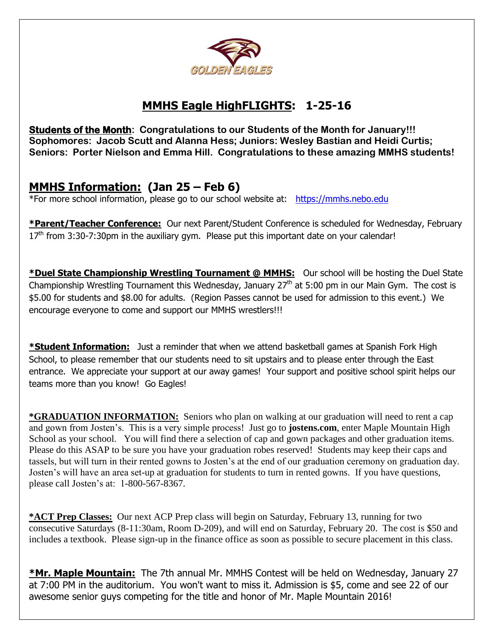

# **MMHS Eagle HighFLIGHTS: 1-25-16**

**Students of the Month: Congratulations to our Students of the Month for January!!! Sophomores: Jacob Scutt and Alanna Hess; Juniors: Wesley Bastian and Heidi Curtis; Seniors: Porter Nielson and Emma Hill. Congratulations to these amazing MMHS students!** 

## **MMHS Information: (Jan 25 – Feb 6)**

\*For more school information, please go to our school website at: [https://mmhs.nebo.edu](https://mmhs.nebo.edu/)

**\*Parent/Teacher Conference:** Our next Parent/Student Conference is scheduled for Wednesday, February  $17<sup>th</sup>$  from 3:30-7:30pm in the auxiliary gym. Please put this important date on your calendar!

**\*Duel State Championship Wrestling Tournament @ MMHS:** Our school will be hosting the Duel State Championship Wrestling Tournament this Wednesday, January  $27<sup>th</sup>$  at 5:00 pm in our Main Gym. The cost is \$5.00 for students and \$8.00 for adults. (Region Passes cannot be used for admission to this event.) We encourage everyone to come and support our MMHS wrestlers!!!

**\*Student Information:** Just a reminder that when we attend basketball games at Spanish Fork High School, to please remember that our students need to sit upstairs and to please enter through the East entrance. We appreciate your support at our away games! Your support and positive school spirit helps our teams more than you know! Go Eagles!

**\*GRADUATION INFORMATION:** Seniors who plan on walking at our graduation will need to rent a cap and gown from Josten's. This is a very simple process! Just go to **jostens.com**, enter Maple Mountain High School as your school. You will find there a selection of cap and gown packages and other graduation items. Please do this ASAP to be sure you have your graduation robes reserved! Students may keep their caps and tassels, but will turn in their rented gowns to Josten's at the end of our graduation ceremony on graduation day. Josten's will have an area set-up at graduation for students to turn in rented gowns. If you have questions, please call Josten's at: 1-800-567-8367.

**\*ACT Prep Classes:** Our next ACP Prep class will begin on Saturday, February 13, running for two consecutive Saturdays (8-11:30am, Room D-209), and will end on Saturday, February 20. The cost is \$50 and includes a textbook. Please sign-up in the finance office as soon as possible to secure placement in this class.

**\*Mr. Maple Mountain:** The 7th annual Mr. MMHS Contest will be held on Wednesday, January 27 at 7:00 PM in the auditorium. You won't want to miss it. Admission is \$5, come and see 22 of our awesome senior guys competing for the title and honor of Mr. Maple Mountain 2016!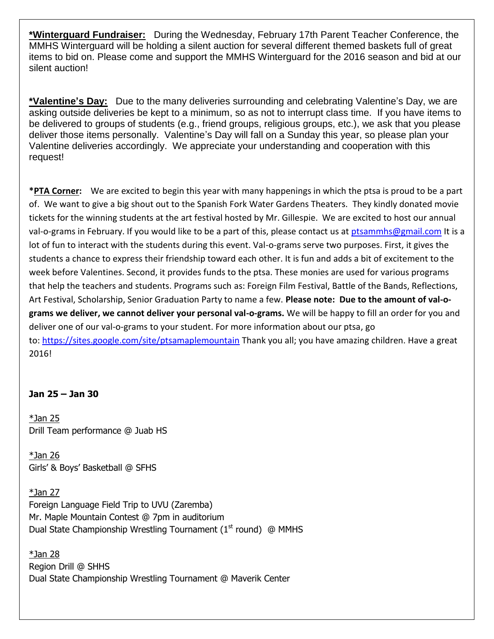**\*Winterguard Fundraiser:** During the Wednesday, February 17th Parent Teacher Conference, the MMHS Winterguard will be holding a silent auction for several different themed baskets full of great items to bid on. Please come and support the MMHS Winterguard for the 2016 season and bid at our silent auction!

**\*Valentine's Day:** Due to the many deliveries surrounding and celebrating Valentine's Day, we are asking outside deliveries be kept to a minimum, so as not to interrupt class time. If you have items to be delivered to groups of students (e.g., friend groups, religious groups, etc.), we ask that you please deliver those items personally. Valentine's Day will fall on a Sunday this year, so please plan your Valentine deliveries accordingly. We appreciate your understanding and cooperation with this request!

**\*PTA Corner:** We are excited to begin this year with many happenings in which the ptsa is proud to be a part of. We want to give a big shout out to the Spanish Fork Water Gardens Theaters. They kindly donated movie tickets for the winning students at the art festival hosted by Mr. Gillespie. We are excited to host our annual val-o-grams in February. If you would like to be a part of this, please contact us at [ptsammhs@gmail.com](mailto:ptsammhs@gmail.com) It is a lot of fun to interact with the students during this event. Val-o-grams serve two purposes. First, it gives the students a chance to express their friendship toward each other. It is fun and adds a bit of excitement to the week before Valentines. Second, it provides funds to the ptsa. These monies are used for various programs that help the teachers and students. Programs such as: Foreign Film Festival, Battle of the Bands, Reflections, Art Festival, Scholarship, Senior Graduation Party to name a few. **Please note: Due to the amount of val-ograms we deliver, we cannot deliver your personal val-o-grams.** We will be happy to fill an order for you and deliver one of our val-o-grams to your student. For more information about our ptsa, go to: <https://sites.google.com/site/ptsamaplemountain> Thank you all; you have amazing children. Have a great 2016!

### **Jan 25 – Jan 30**

 $*$ Jan 25 Drill Team performance @ Juab HS

\*Jan 26 Girls' & Boys' Basketball @ SFHS

 $*$ Jan 27 Foreign Language Field Trip to UVU (Zaremba) Mr. Maple Mountain Contest @ 7pm in auditorium Dual State Championship Wrestling Tournament  $(1<sup>st</sup>$  round) @ MMHS

\*Jan 28 Region Drill @ SHHS Dual State Championship Wrestling Tournament @ Maverik Center